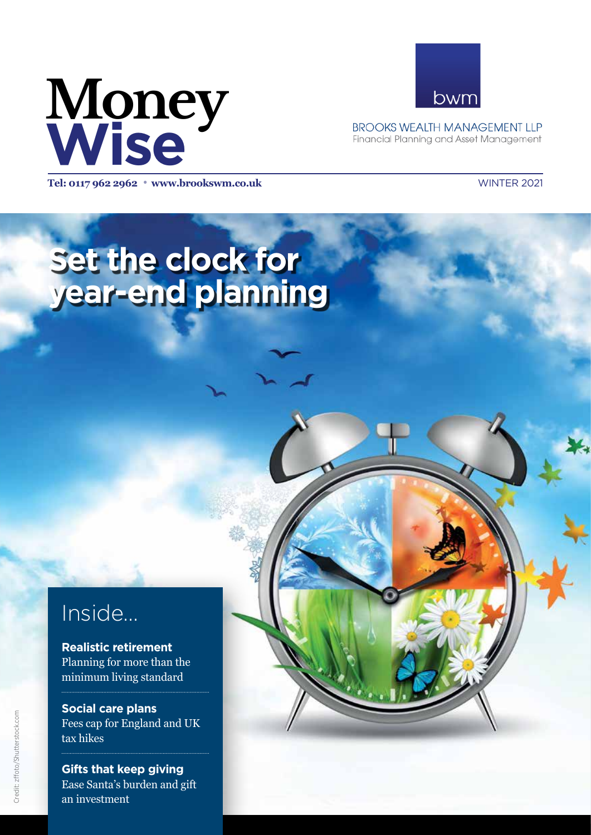



**BROOKS WEALTH MANAGEMENT LLP** Financial Planning and Asset Management

**Tel: 0117 962 2962** <sup>l</sup> **www.brookswm.co.uk** WINTER 2021

# **Set the clock for year-end planning**

## Inside...

**Realistic retirement** Planning for more than the minimum living standard

**Social care plans** Fees cap for England and UK tax hikes

**Gifts that keep giving** Ease Santa's burden and gift an investment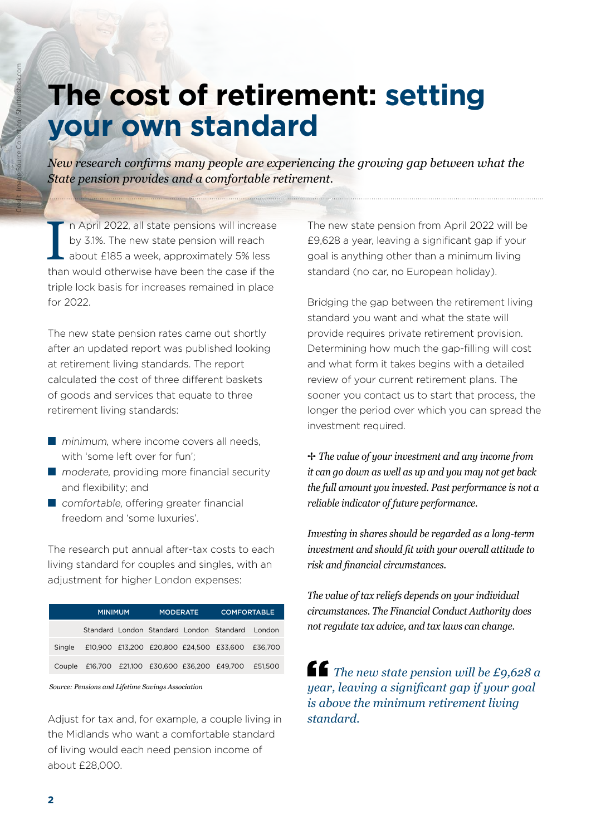## **The cost of retirement: setting your own standard**

*New research confirms many people are experiencing the growing gap between what the State pension provides and a comfortable retirement.* 

In April 2022, all state pensions will increase<br>by 3.1%. The new state pension will reach<br>about £185 a week, approximately 5% less<br>than would otherwise have been the case if the n April 2022, all state pensions will increase by 3.1%. The new state pension will reach about £185 a week, approximately 5% less triple lock basis for increases remained in place for 2022.

The new state pension rates came out shortly after an updated report was published looking at retirement living standards. The report calculated the cost of three different baskets of goods and services that equate to three retirement living standards:

- minimum, where income covers all needs. with 'some left over for fun';
- moderate, providing more financial security and flexibility; and
- comfortable, offering greater financial freedom and 'some luxuries'.

The research put annual after-tax costs to each living standard for couples and singles, with an adjustment for higher London expenses:

|        | <b>MINIMUM</b>                                           |  | <b>MODERATE</b> |  | <b>COMFORTABLE</b>                                     |  |
|--------|----------------------------------------------------------|--|-----------------|--|--------------------------------------------------------|--|
|        |                                                          |  |                 |  | Standard London Standard London Standard London        |  |
| Single |                                                          |  |                 |  | £10,900 £13,200 £20,800 £24,500 £33,600 £36,700        |  |
|        |                                                          |  |                 |  | Couple £16,700 £21,100 £30,600 £36,200 £49,700 £51,500 |  |
|        | $\alpha$ , and the set of the set of the set of $\alpha$ |  |                 |  |                                                        |  |

*Source: Pensions and Lifetime Savings Association* 

Adjust for tax and, for example, a couple living in the Midlands who want a comfortable standard of living would each need pension income of about £28,000.

The new state pension from April 2022 will be £9,628 a year, leaving a significant gap if your goal is anything other than a minimum living standard (no car, no European holiday).

Bridging the gap between the retirement living standard you want and what the state will provide requires private retirement provision. Determining how much the gap-filling will cost and what form it takes begins with a detailed review of your current retirement plans. The sooner you contact us to start that process, the longer the period over which you can spread the investment required.

B *The value of your investment and any income from it can go down as well as up and you may not get back the full amount you invested. Past performance is not a reliable indicator of future performance.* 

*Investing in shares should be regarded as a long-term investment and should fit with your overall attitude to risk and financial circumstances.*

*The value of tax reliefs depends on your individual circumstances. The Financial Conduct Authority does not regulate tax advice, and tax laws can change.*

*The new state pension will be £9,628 a year, leaving a significant gap if your goal is above the minimum retirement living standard.*

Credit: Image Source Collection/ Shutterstock.com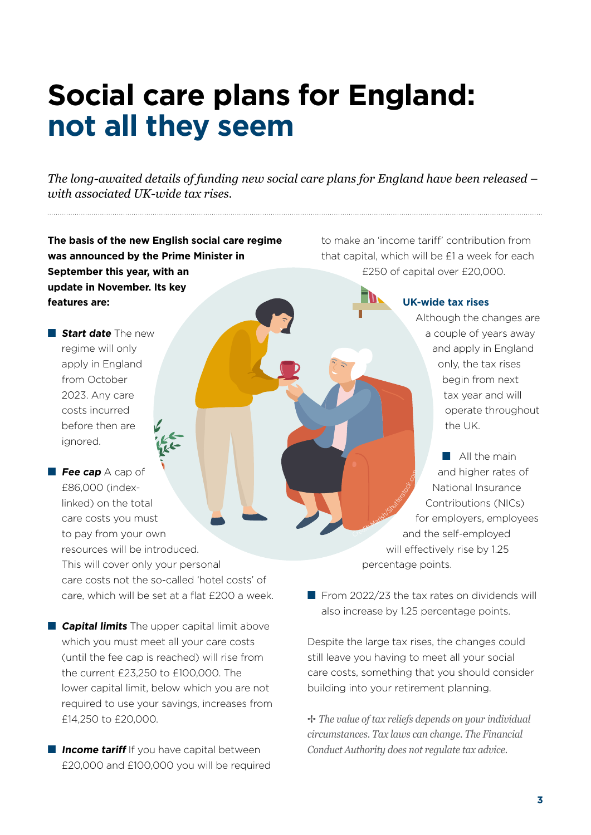## **Social care plans for England: not all they seem**

*The long-awaited details of funding new social care plans for England have been released – with associated UK-wide tax rises.* 

**The basis of the new English social care regime was announced by the Prime Minister in September this year, with an update in November. Its key features are:** 

■ **Start date** The new regime will only apply in England from October 2023. Any care costs incurred before then are ignored.

■ **Fee cap** A cap of £86,000 (indexlinked) on the total care costs you must to pay from your own resources will be introduced. This will cover only your personal care costs not the so-called 'hotel costs' of care, which will be set at a flat £200 a week.

■ **Capital limits** The upper capital limit above which you must meet all your care costs (until the fee cap is reached) will rise from the current £23,250 to £100,000. The lower capital limit, below which you are not required to use your savings, increases from £14,250 to £20,000.

■ **Income tariff** If you have capital between £20,000 and £100,000 you will be required to make an 'income tariff' contribution from that capital, which will be £1 a week for each £250 of capital over £20,000.

**UK-wide tax rises**

Although the changes are a couple of years away and apply in England only, the tax rises begin from next tax year and will operate throughout the UK.

■ All the main and higher rates of National Insurance Contributions (NICs) for employers, employees and the self-employed will effectively rise by 1.25 percentage points. Credit: Marian Credit: Marian

■ From 2022/23 the tax rates on dividends will also increase by 1.25 percentage points.

Despite the large tax rises, the changes could still leave you having to meet all your social care costs, something that you should consider building into your retirement planning.

B *The value of tax reliefs depends on your individual circumstances. Tax laws can change. The Financial Conduct Authority does not regulate tax advice.*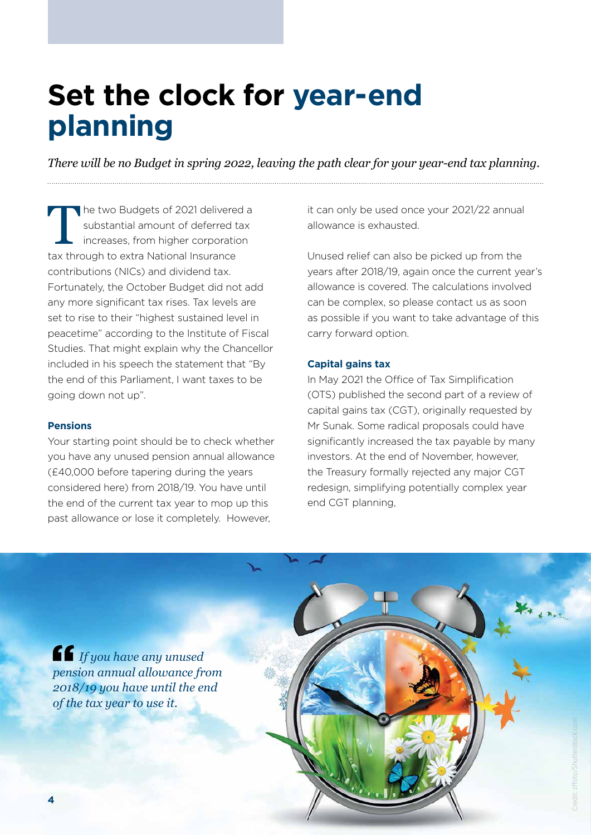## **Set the clock for year-end planning**

*There will be no Budget in spring 2022, leaving the path clear for your year-end tax planning.* 

The two Budgets of 2021 delivered a substantial amount of deferred tax increases, from higher corporation tax through to extra National Insurance contributions (NICs) and dividend tax. Fortunately, the October Budget did not add any more significant tax rises. Tax levels are set to rise to their "highest sustained level in peacetime" according to the Institute of Fiscal Studies. That might explain why the Chancellor included in his speech the statement that "By the end of this Parliament, I want taxes to be going down not up".

#### **Pensions**

Your starting point should be to check whether you have any unused pension annual allowance (£40,000 before tapering during the years considered here) from 2018/19. You have until the end of the current tax year to mop up this past allowance or lose it completely. However,

it can only be used once your 2021/22 annual allowance is exhausted.

Unused relief can also be picked up from the years after 2018/19, again once the current year's allowance is covered. The calculations involved can be complex, so please contact us as soon as possible if you want to take advantage of this carry forward option.

#### **Capital gains tax**

In May 2021 the Office of Tax Simplification (OTS) published the second part of a review of capital gains tax (CGT), originally requested by Mr Sunak. Some radical proposals could have significantly increased the tax payable by many investors. At the end of November, however, the Treasury formally rejected any major CGT redesign, simplifying potentially complex year end CGT planning,

*If you have any unused pension annual allowance from 2018/19 you have until the end of the tax year to use it.*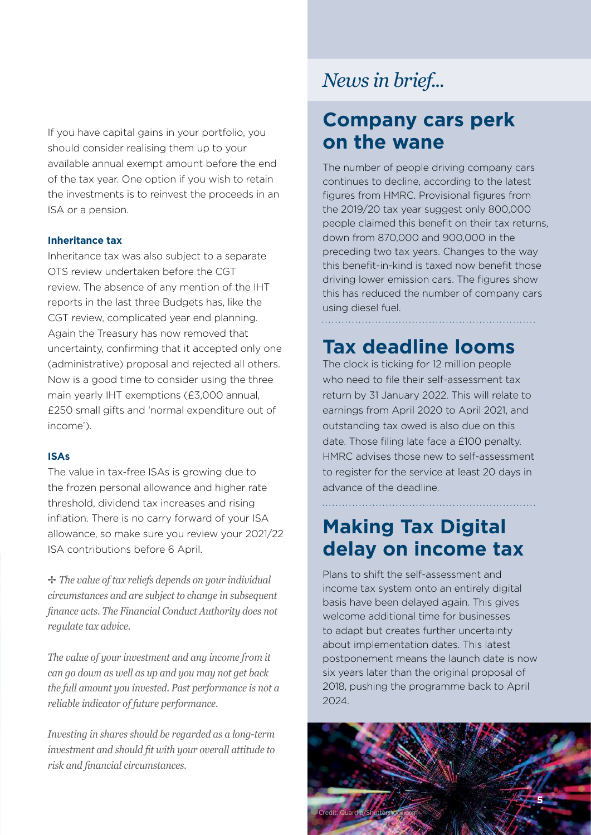If you have capital gains in your portfolio, you should consider realising them up to your available annual exempt amount before the end of the tax year. One option if you wish to retain the investments is to reinvest the proceeds in an ISA or a pension.

### **Inheritance tax**

Inheritance tax was also subject to a separate OTS review undertaken before the CGT review. The absence of any mention of the IHT reports in the last three Budgets has, like the CGT review, complicated year end planning. Again the Treasury has now removed that uncertainty, confirming that it accepted only one (administrative) proposal and rejected all others. Now is a good time to consider using the three main yearly IHT exemptions (£3,000 annual, £250 small gifts and 'normal expenditure out of income').

#### **ISAs**

The value in tax-free ISAs is growing due to the frozen personal allowance and higher rate threshold, dividend tax increases and rising inflation. There is no carry forward of your ISA allowance, so make sure you review your 2021/22 ISA contributions before 6 April.

B *The value of tax reliefs depends on your individual circumstances and are subject to change in subsequent finance acts. The Financial Conduct Authority does not regulate tax advice.* 

*The value of your investment and any income from it can go down as well as up and you may not get back the full amount you invested. Past performance is not a reliable indicator of future performance.* 

*Investing in shares should be regarded as a long-term investment and should fit with your overall attitude to risk and financial circumstances.*

### *News in brief...*

### **Company cars perk on the wane**

The number of people driving company cars continues to decline, according to the latest figures from HMRC. Provisional figures from the 2019/20 tax year suggest only 800,000 people claimed this benefit on their tax returns, down from 870,000 and 900,000 in the preceding two tax years. Changes to the way this benefit-in-kind is taxed now benefit those driving lower emission cars. The figures show this has reduced the number of company cars using diesel fuel.

### **Tax deadline looms**

The clock is ticking for 12 million people who need to file their self-assessment tax return by 31 January 2022. This will relate to earnings from April 2020 to April 2021, and outstanding tax owed is also due on this date. Those filing late face a £100 penalty. HMRC advises those new to self-assessment to register for the service at least 20 days in advance of the deadline.

## **Making Tax Digital delay on income tax**

Plans to shift the self-assessment and income tax system onto an entirely digital basis have been delayed again. This gives welcome additional time for businesses to adapt but creates further uncertainty about implementation dates. This latest postponement means the launch date is now six years later than the original proposal of 2018, pushing the programme back to April 2024.

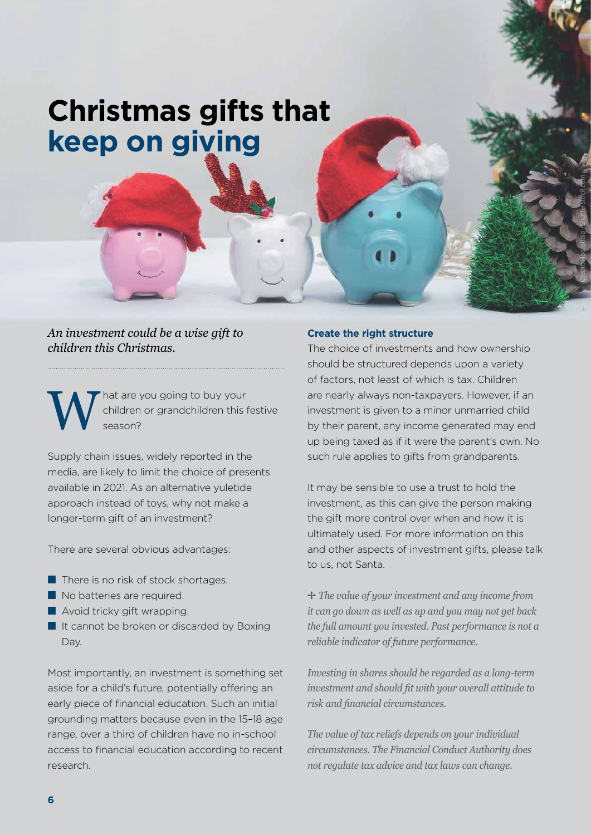## **Christmas gifts that keep on giving**

*An investment could be a wise gift to children this Christmas.*

W children or grandchildren this f<br>season? children or grandchildren this festive season?

Supply chain issues, widely reported in the media, are likely to limit the choice of presents available in 2021. As an alternative yuletide approach instead of toys, why not make a longer-term gift of an investment?

There are several obvious advantages:

- There is no risk of stock shortages.
- No batteries are required.
- Avoid tricky gift wrapping.
- It cannot be broken or discarded by Boxing Day.

Most importantly, an investment is something set aside for a child's future, potentially offering an early piece of financial education. Such an initial grounding matters because even in the 15–18 age range, over a third of children have no in-school access to financial education according to recent research.

#### **Create the right structure**

The choice of investments and how ownership should be structured depends upon a variety of factors, not least of which is tax. Children are nearly always non-taxpayers. However, if an investment is given to a minor unmarried child by their parent, any income generated may end up being taxed as if it were the parent's own. No such rule applies to gifts from grandparents.

Credit: Hparatlala /Shutterstock.com

It may be sensible to use a trust to hold the investment, as this can give the person making the gift more control over when and how it is ultimately used. For more information on this and other aspects of investment gifts, please talk to us, not Santa.

B *The value of your investment and any income from it can go down as well as up and you may not get back the full amount you invested. Past performance is not a reliable indicator of future performance.* 

*Investing in shares should be regarded as a long-term investment and should fit with your overall attitude to risk and financial circumstances.*

*The value of tax reliefs depends on your individual circumstances. The Financial Conduct Authority does not regulate tax advice and tax laws can change.*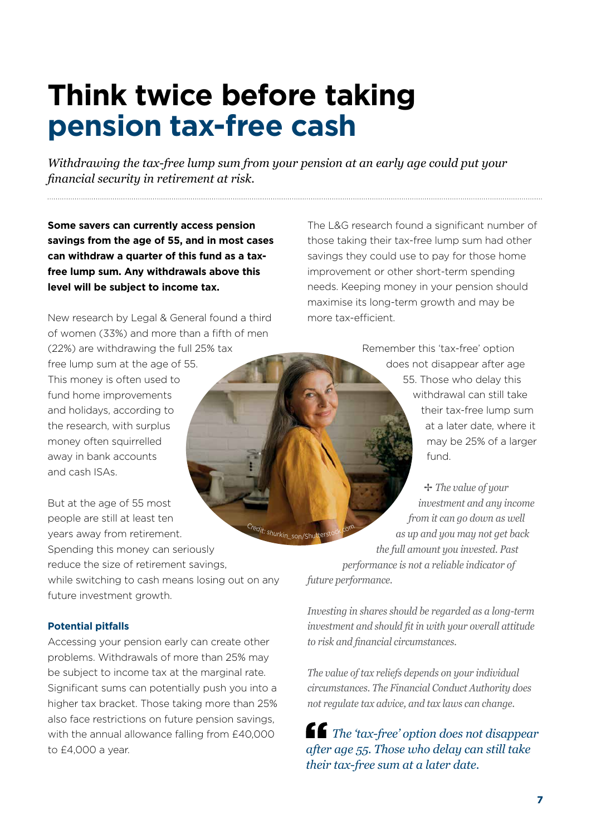## **Think twice before taking pension tax-free cash**

*Withdrawing the tax-free lump sum from your pension at an early age could put your financial security in retirement at risk.* 

**Some savers can currently access pension savings from the age of 55, and in most cases can withdraw a quarter of this fund as a taxfree lump sum. Any withdrawals above this level will be subject to income tax.** 

New research by Legal & General found a third of women (33%) and more than a fifth of men (22%) are withdrawing the full 25% tax free lump sum at the age of 55. This money is often used to fund home improvements and holidays, according to the research, with surplus money often squirrelled away in bank accounts and cash ISAs.

But at the age of 55 most people are still at least ten years away from retirement. Spending this money can seriously reduce the size of retirement savings, while switching to cash means losing out on any future investment growth. <sup>C</sup><sup>r</sup>edit: <sup>s</sup>hurkin

#### **Potential pitfalls**

Accessing your pension early can create other problems. Withdrawals of more than 25% may be subject to income tax at the marginal rate. Significant sums can potentially push you into a higher tax bracket. Those taking more than 25% also face restrictions on future pension savings, with the annual allowance falling from £40,000 to £4,000 a year.

The L&G research found a significant number of those taking their tax-free lump sum had other savings they could use to pay for those home improvement or other short-term spending needs. Keeping money in your pension should maximise its long-term growth and may be more tax-efficient.

> Remember this 'tax-free' option does not disappear after age 55. Those who delay this withdrawal can still take their tax-free lump sum at a later date, where it may be 25% of a larger fund.

B *The value of your investment and any income from it can go down as well as up and you may not get back the full amount you invested. Past performance is not a reliable indicator of future performance.*  \_son/Shutterstock.co<sup>m</sup>

*Investing in shares should be regarded as a long-term investment and should fit in with your overall attitude to risk and financial circumstances.*

*The value of tax reliefs depends on your individual circumstances. The Financial Conduct Authority does not regulate tax advice, and tax laws can change.*

*The 'tax-free' option does not disappear after age 55. Those who delay can still take their tax-free sum at a later date.*